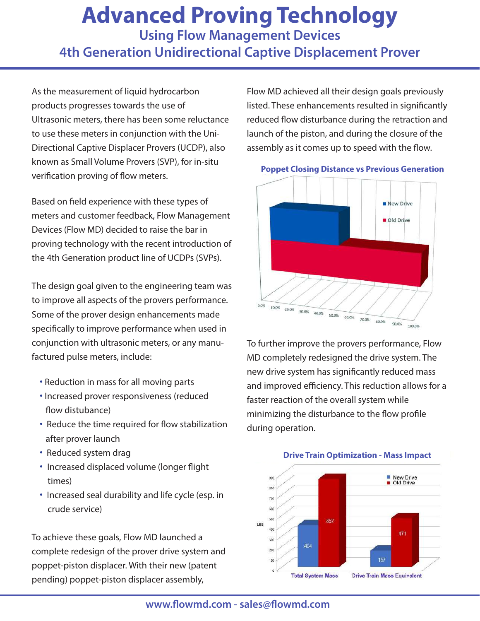## **Advanced Proving Technology**

**Using Flow Management Devices 4th Generation Unidirectional Captive Displacement Prover**

As the measurement of liquid hydrocarbon products progresses towards the use of Ultrasonic meters, there has been some reluctance to use these meters in conjunction with the Uni-Directional Captive Displacer Provers (UCDP), also known as Small Volume Provers (SVP), for in-situ verification proving of flow meters.

Based on field experience with these types of meters and customer feedback, Flow Management Devices (Flow MD) decided to raise the bar in proving technology with the recent introduction of the 4th Generation product line of UCDPs (SVPs).

The design goal given to the engineering team was to improve all aspects of the provers performance. Some of the prover design enhancements made specifically to improve performance when used in conjunction with ultrasonic meters, or any manufactured pulse meters, include:

- **·** Reduction in mass for all moving parts
- **·** Increased prover responsiveness (reduced flow distubance)
- **·** Reduce the time required for flow stabilization after prover launch
- **·** Reduced system drag
- **·** Increased displaced volume (longer flight times)
- **·** Increased seal durability and life cycle (esp. in crude service)

To achieve these goals, Flow MD launched a complete redesign of the prover drive system and poppet-piston displacer. With their new (patent pending) poppet-piston displacer assembly,

Flow MD achieved all their design goals previously listed. These enhancements resulted in significantly reduced flow disturbance during the retraction and launch of the piston, and during the closure of the assembly as it comes up to speed with the flow.



To further improve the provers performance, Flow MD completely redesigned the drive system. The new drive system has significantly reduced mass and improved efficiency. This reduction allows for a faster reaction of the overall system while minimizing the disturbance to the flow profile during operation.



## **Poppet Closing Distance vs Previous Generation**

**www.flowmd.com - sales@flowmd.com**